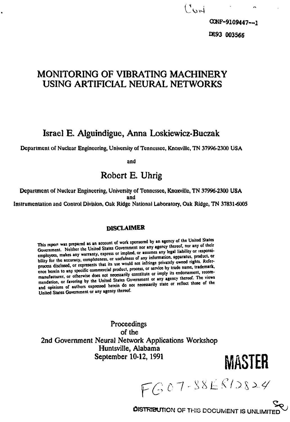# **MONITORING OF VIBRATING MACHINERY USING ARTIFICIAL NEURAL NETWORKS**

**Israel E. Alguindigue, Anna Loskiewicz-Buczak**

Department of Nuclear Engineering, University of Tennessee, Knoxville, TN 37996-2300 USA

and

# **Robert E. Uhrig**

Department of Nuclear Engineering, University of Tennessee, Knoxville, TN 37996-2300 **USA** and Instrumentation and Control Division, Oak Ridge National Laboratory, Oak Ridge, TN 37831-6005

#### **DISCLAIMER**

This report was prepared as an account of work sponsored by an agency of the United States Government. Neither the United States Government nor any agency thereof, nor any of their employees, makes any warranty, express or

**Proceedings** of the 2nd Government Neural Network Applications Workshop Huntsville, Alabama<br>September 10-12, 1991

 $FG07-38E812824$ 

**MASTER** 

**DISTRIBUTION OF THIS DOCUMENT IS UNLIMITE**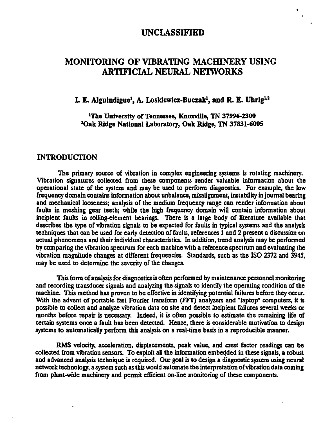### **UNCLASSIFIED**

## **MONITORING OF VIBRATING MACHINERY USING ARTIFICIAL NEURAL NETWORKS**

## I. E. Alguindigue<sup>1</sup>, A. Loskiewicz-Buczak<sup>1</sup>, and R. E. Uhrig<sup>1,2</sup>

**The University of Tennessee, Knoxville, TN 37996-2300 'Oak Ridge National Laboratory, Oak Ridge, TN 37831-6005**

#### **INTRODUCTION**

**The primary source of vibration in complex engineering systems is rotating machinery. Vibration signatures collected from these components render valuable information about the operational state of the system and may be used to perform diagnostics. For example, the low frequency domain contains information about unbalance, misalignment, instability in journal bearing and mechanical looseness; analysis of the medium frequency range can render information about faults in meshing gear teeth; while the high frequency domain will contain information about incipient faults in rolling-element bearings. There is a large body of literature available that describes the type of vibration signals to be expected for faults in typical systems and the analysis techniques that can be used for early detection of faults, references 1 and 2 present a discussion on actual phenomena and their individual characteristics. In addition, trend analysis may be performed by comparing the vibration spectrum for each machine with a reference spectrum and evaluating the vibration magnitude changes at different frequencies. Standards, such as the ISO 2372 and 3945, may be used to determine the severity of the changes.**

**This form of analysis for diagnostics is often performed by maintenance personnel monitoring and recording transducer signals and analyzing the signals to identify the operating condition of the machine. This method has proven to be effective in identifying potential failures before they occur. With the advent of portable fast Fourier transform (FFT) analyzers and "laptop" computers, it is possible to collect and analyze vibration data on site and detect incipient failures several weeks or months before repair is necessary. Indeed, it is often possible to estimate the remaining life of certain systems once a fault has been detected. Hence, there is considerable motivation to design systems to automatically perform this analysis on a real-time basis in a reproducible manner.**

**RMS velocity, acceleration, displacements, peak value, and crest factor readings can be collected from vibration sensors. To exploit all the information embedded in these signals, a robust and advanced analysis technique is required. Our goal is to design a diagnostic system using neural network technology, a system such as this would automate the interpretation of vibration data coming from plant-wide machinery and permit efficient on-line monitoring of these components.**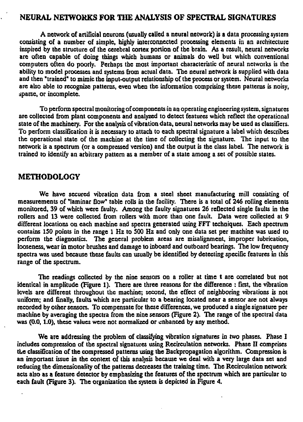#### **NEURAL NETWORKS FOR THE ANALYSIS OF SPECTRAL SIGNATURES**

**A network of artificial neurons (usually called a neural network) is a data processing system consisting of a number of simple, highly interconnected processing elements in an architecture inspired by the structure of the cerebral cortex portion of the brain. As a result, neural networks are often capable of doing things which humans or animals do well but which conventional computers often do poorly. Perhaps the most important characteristic of neural networks is the ability to model processes and systems from actual data. The neural network is supplied with data and then "trained" to mimic the input-output relationship of the process or system. Neural networks are also able to recognize patterns, even when the information comprising these patterns is noisy, sparse, or incomplete.**

**To perform spectral monitoring of components in an operating engineering system, signatures are collected from plant components and analyzed to detect features which reflect the operational state of the machinery. For the analysis of vibration data, neural networks may be used as classifiers. To perform classification it is necessary to attach to each spectral signature a label which describes the operational state of the machine at the time of collecting the signature. The input to the network is a spectrum (or a compressed version) and the output is the class label. The network is trained to identify an arbitrary pattern as a member of a state among a set of possible states.**

#### **METHODOLOGY**

**We have secured vibration data from a steel sheet manufacturing mill consisting of measurements of "laminar Dow" table rolls in the facility. There is a total of 246 rolling elements monitored, 39 of which were faulty. Among the faulty signatures 26 reflected single faults in the rollers and 13 were collected from rollers with more than one fault. Data were collected at 9 different locations on each machine and spectra generated using FFT techniques. Each spectrum contains 150 points in the range 1 Hz to 500 Hz and only one data set per machine was used to perform the diagnostics. The general problem areas are misalignment, improper lubrication, looseness, wear in motor brushes and damage to inboard and outboard bearings. The low frequency** spectra was used because these faults can usually be identified by detecting specific features in this **range of the spectrum.**

**The readings collected by the nine sensors on a roller at time t are correlated but not identical in amplitude (Figure 1). There are three reasons for the difference : first, the vibration levels are different throughout the machine; second, the effect of neighboring vibrations is not uniform; and finally, faults which are particular to a bearing located near a sensor are not always recorded by other sensors. To compensate for these differences, we produced a single signature per machine by averaging the spectra from the nine sensors (Figure 2). The range of the spectral data was (0.0,1.0), these values were not normalized or enhanced by any method.**

**We are addressing the problem of classifying vibration signatures in two phases. Phase I includes compression of the spectral signatures using Recirculation networks. Phase II comprises tLe classiGcation of the compressed patterns using the Backpropagation algorithm. Compression is an important issue in the context of this analysis because we deal with a very large data set and reducing the dimensionality of the patterns decreases the training time. The Recirculation network acts also as a feature detector by emphasizing the features of the spectrum which are particular to each fault (Figure 3). The organization the system is depicted in Figure 4.**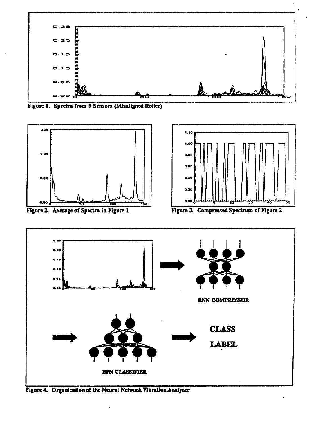

Figure 1. Spectra from 9 Sensors (Misaligned Roller)





Figure 4. Organization of the Neural Network Vibration Analyzer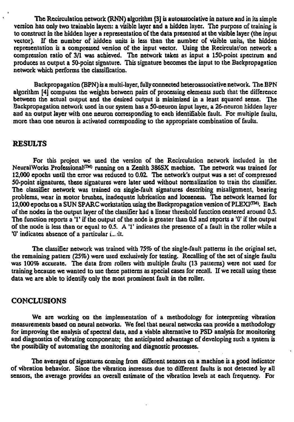**The Rccirculatian network (RNN) algorithm [3] is autoassociative in nature and in its simple version has only two trainable layers: a visible layer and a hidden layer. The purpose of training is to construct in the hidden layer a representation of the data presented at the visible layer (the input** vector). If the number of hidden units is less than the number of visible units, the hidden **representation is a compressed version of the input vector. Using the Recirculat'on network a compression ratio of 3/1 was achieved. The network takes as input a ISO-point spectrum and produces as output a SO-point signature. This signature becomes the input to the Backpropagation network which performs the classification.**

**Backpropagation (BPN) is a multi-layer, fully connected heteroassociative network. The BPN algorithm [4] computes the weights between pairs of processing elements such that the difference between the actual output and the desired output is minimized in a least squared sense. The Backpropagation network used in our system has a SO-neuron input layer, a 26-neuron hidden layer and an output layer with one neuron corresponding to each identifiable fault. For multiple faults, more than one neuron is activated corresponding to the appropriate combination of faults.**

#### **RESULTS**

**For this project we used the version of the Recirculation network included in the** NeuralWorks Professional<sup>(™)</sup> running on a Zenith 386SX machine. The network was trained for **12,000 epochs until the error was reduced to 0.02. The network's output was a set of compressed 50-potnt signatures, these signatures were later used without normalization to train the classifier. The classifier network was trained on single-fault signatures describing misalignment, bearing problems, wear in motor brushes, inadequate lubrication and looseness. The network learned for 12,000 epochs on a SUN SPARC workstation using the Backpropagation version of PLEXI<™>. Each of the nodes in the output layer of the classifier had a linear threshold function centered around 0.5.** The function reports a '1' if the output of the node is greater than 0.5 and reports a '0' if the output of the node is less than or equal to  $0.5$ . A '1' indicates the presence of a fault in the roller while a **'0' indicates absence of a particular i\_.:lt.**

**The classifier network was trained with 75% of the single-fault patterns in the original set, the remaining patters (25%) were used exclusively for testing. Recalling of the set of single faults was 100% accurate. The data from rollers with multiple faults (13 patterns) were not used for training because we wanted to use these patterns as special cases for recall. If we recall using these data we are able to identify only the most prominent fault in the roller.**

#### **CONCLUSIONS**

**We are working on the implementation of a methodology for interpreting vibration measurements based on neural networks. We feel that neural networks can provide a methodology for improving the analysis of spectral data, and a viable alternative to PSD analysis for monitoring and diagnostics of vibrating components; the anticipated advantage of developing such a system is the possibility of automating the monitoring and diagnostic processes.**

**The averages of signatures coming from different sensors on a machine is a good indicator of vibration behavior. Since the vibration increases due to different faults is not detected by all sensors, the average provides an overall estimate of the vibration levels at each frequency. For**